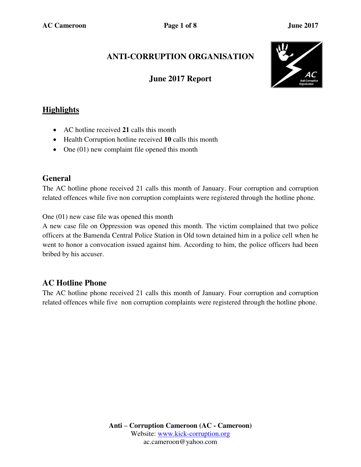# **ANTI-CORRUPTION ORGANISATION**

## **June 2017 Report**



## **Highlights**

- AC hotline received **21** calls this month
- Health Corruption hotline received **10** calls this month
- One (01) new complaint file opened this month

#### **General**

The AC hotline phone received 21 calls this month of January. Four corruption and corruption related offences while five non corruption complaints were registered through the hotline phone.

One (01) new case file was opened this month

A new case file on Oppression was opened this month. The victim complained that two police officers at the Bamenda Central Police Station in Old town detained him in a police cell when he went to honor a convocation issued against him. According to him, the police officers had been bribed by his accuser.

## **AC Hotline Phone**

The AC hotline phone received 21 calls this month of January. Four corruption and corruption related offences while five non corruption complaints were registered through the hotline phone.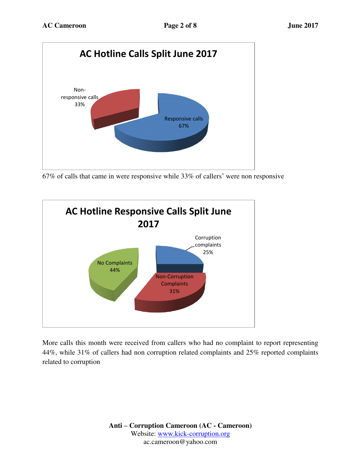

67% of calls that came in were responsive while 33% of callers' were non responsive



More calls this month were received from callers who had no complaint to report representing 44%, while 31% of callers had non corruption related complaints and 25% reported complaints related to corruption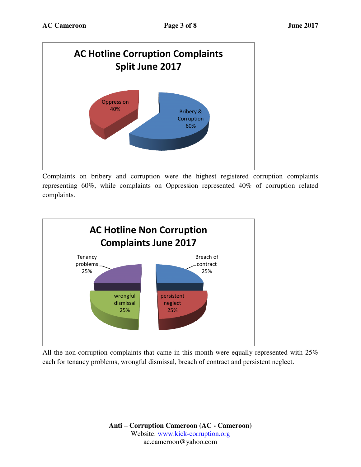

Complaints on bribery and corruption were the highest registered corruption complaints representing 60%, while complaints on Oppression represented 40% of corruption related complaints.



All the non-corruption complaints that came in this month were equally represented with 25% each for tenancy problems, wrongful dismissal, breach of contract and persistent neglect.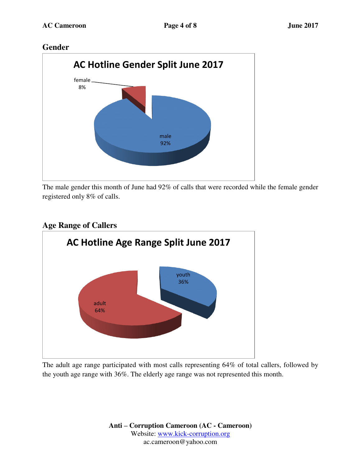#### **Gender**



The male gender this month of June had 92% of calls that were recorded while the female gender registered only 8% of calls.

## **Age Range of Callers**



The adult age range participated with most calls representing 64% of total callers, followed by the youth age range with 36%. The elderly age range was not represented this month.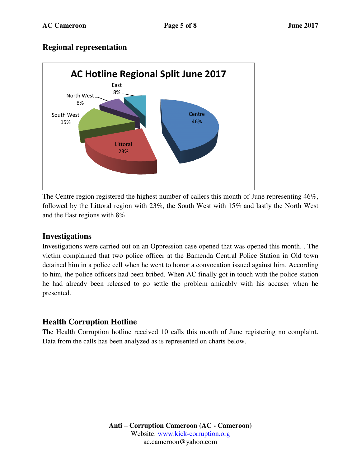#### **Regional representation**



The Centre region registered the highest number of callers this month of June representing 46%, followed by the Littoral region with 23%, the South West with 15% and lastly the North West and the East regions with 8%.

#### **Investigations**

Investigations were carried out on an Oppression case opened that was opened this month. . The victim complained that two police officer at the Bamenda Central Police Station in Old town detained him in a police cell when he went to honor a convocation issued against him. According to him, the police officers had been bribed. When AC finally got in touch with the police station he had already been released to go settle the problem amicably with his accuser when he presented.

### **Health Corruption Hotline**

The Health Corruption hotline received 10 calls this month of June registering no complaint. Data from the calls has been analyzed as is represented on charts below.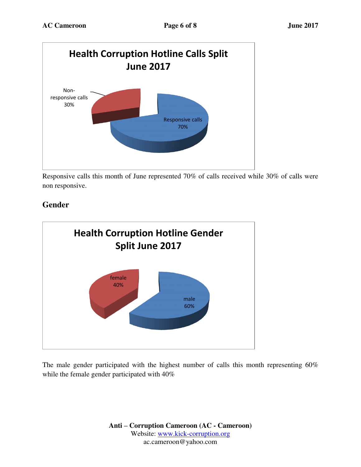

Responsive calls this month of June represented 70% of calls received while 30% of calls were non responsive.

## **Gender**



The male gender participated with the highest number of calls this month representing 60% while the female gender participated with 40%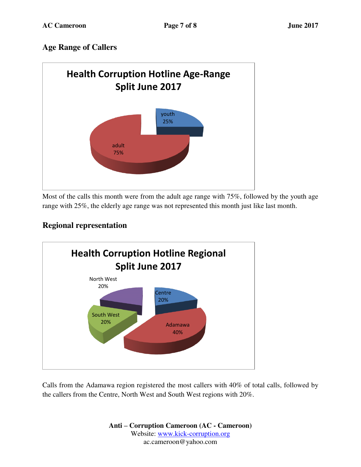### **Age Range of Callers**



Most of the calls this month were from the adult age range with 75%, followed by the youth age range with 25%, the elderly age range was not represented this month just like last month.

## **Regional representation**



Calls from the Adamawa region registered the most callers with 40% of total calls, followed by the callers from the Centre, North West and South West regions with 20%.